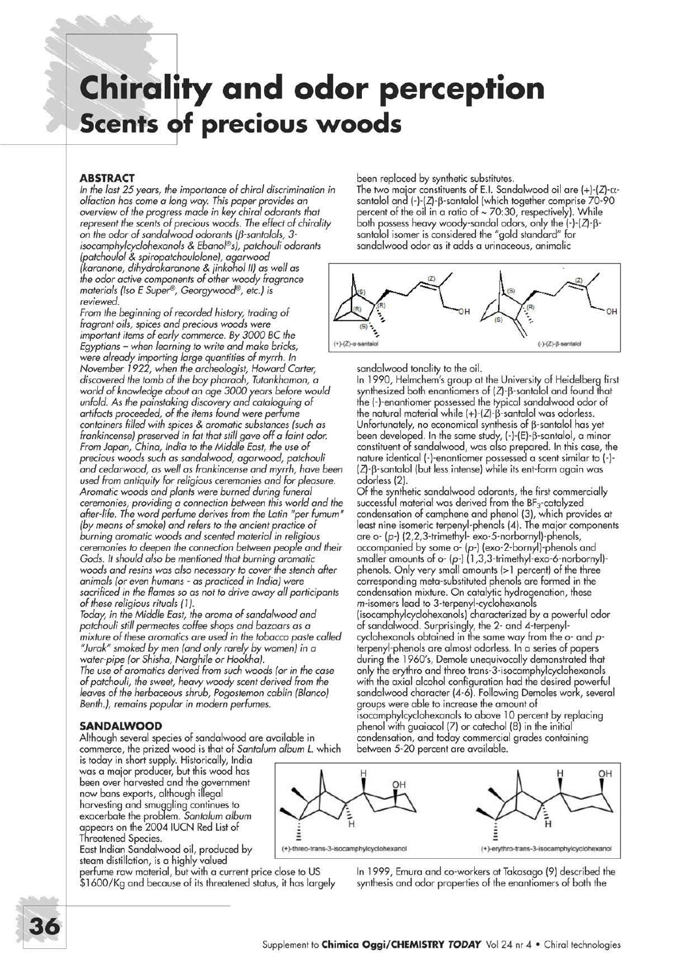# **Chirality and odor perception Scents of precious woods**

## **ABSTRACT**

*In the lost 25* years, *the importance of chirol discrimination in olfaction has come o long way. This paper provides on* overview *of the progress mode in key chirol odorants that represent the scents of precious woods. The effect of chirality on the odor of sandalwood odorants ({J-sontolols, 3- isocamphy/cyclohexonofs* & *Ebonof®s}, patchouli odorants (potchoufol* & *spiropatchoulolone}, agarwood (koronone, dihydrokoronone* & *jinkohol* II} *as well as the odor active components of other woody fragrance materials (/so E Super®, GeorgywootP, etc.} is* 

From the beginning of recorded history, trading of *fragrant oils, spices ond precious woods were important items of early commerce. By 3000 BC the Egyptians – when learning to write and make bricks,*  $(+)$ <sup>(+)</sup>(Z)-a-santalo *were already imparting forge quantities of myrrh. In November 1922, when the archeologist, Howard Corter, discovered the tomb of the boy pharaoh, Tutankhomon, a world of knowledge about an age 3000 years before would unfold. As the painstaking discovery and cataloguing of artifacts proceeded, of the items found were perfume frankincense) preserved in fat that still gave off a faint odor. From Japan, China, Indio to the Middle East, the use of precious woods such as sandalwood, agorwood, patchouli and cedarwood, as well as frankincense and myrrh, hove been used from antiquity for religious ceremonies and for pleasure. Aromatic woods and plants were burned during funeral ceremonies, providing a connection between this world and the after-life. The word perfume derives from the Latin "per fumum" (by means of smoke} and refers to the ancient practice of burning aromatic woods and scented material in religious ceremonies to deepen the connection between people and their Gods. It should also be mentioned that burning aromatic woods and resins was also necessary to cover the stench after animals (or even humans* -*as practiced in Indio} were sacrificed in the flames so as not to drive away all participants* 

*of these religious rituals (I}. Today, in the Middle East, the aroma of sandalwood and patchouli still permeates coffee shops and bazaars as o mixture of these aromatics ore used in the tobacco paste called* 

water-pipe (or Shisha, Narghile or Hookha).<br>The use of aromatics derived from such woods (or in the case<br>of patchouli, the sweet, heavy woody scent derived from the *leaves of the herbaceous shrub, Pogostemon cablin (Blanco) Benth.}, remains popular in modern perfumes.* 

## **SANDALWOOD**

Although several species of sandalwood ore available in commerce, the prized wood is that of *Sontolum album* L. which

is today in short supply. Historically, Indio was a major producer, but this wood has been over harvested and the government now bans exports, although illegal harvesting and smuggling continues to exacerbate the problem. *Sontolum album*  appears on the 2004 IUCN Red List of

\$1600/Kg and because of its threatened status, it has largely synthesis and odor properties of the enontiomers of both the

been replaced by synthetic substitutes.

The two major constituents of E.I. Sandalwood oil are  $(+)$ - $(Z)$ - $\alpha$ santalol and (-)-(Z)-B-santalol (which together comprise 70-90 percent of the oil in *o* ratio of- 70:30, respectively). While both possess heavy woody-sandal odors, only the (-)-(Z)-psontolol isomer is considered the "gold standard" for sandalwood odor as it adds a urinaceous, animalic



sandalwood tonality to the oil.

In 1990, Helmchem's group at the University of Heidelberg first synthesized both enontiomers of (ZJ-P·sontolol and found that the (-)-enontiomer possessed the typical sandalwood odor of the natural material while  $(+)$ - $(Z)$ - $\beta$ -santalol was odorless. Unfortunately, no economical synthesis of ß-santalol has yet been developed. In the same study, (-)-(E)-ß-santalol, a minor constituent of sandalwood, was also prepared. In this case, the nature identical (·)·enontiomer possessed a scent similar to(-)- (ZJ-P·sontolol (but less intense) while its ent-form again was odorless (2).

Of the synthetic sandalwood odorants, the first commercially successful material was derived from the  $BF_3$ -catalyzed condensation of camphene and phenol (3), which provides at least nine isomeric terpenyl-phenols (4). The major components ore o- (p·) (2,2,3-trimethyl- exo-5-norbornyl)-phenols, accompanied by some o· (p-) (exo-2-bornyl)-phenols and smaller amounts of o- (p-) (1 ,3,3-trimethyl-exo-6-norbornyl) phenols. Only very small amounts (> 1 percent) of the three corresponding meta-substituted phenols ore formed in the condensation mixture. On catalytic hydrogenation, these m·isomers lead to 3·terpenyl·cyclohexonols (isocomphylcyclohexonols) characterized by o powerful odor of sandalwood. Surprisingly, the 2· and 4·terpenylcyclohexonols obtained in the some way from the o· and *p*terpenyl-phenols are almost odorless. In a series of papers during the 1960's, Demole unequivocally demonstrated that only the erythro and threo trons-3·isocomphylcyclohexonols with the axial alcohol configuration hod the desired powerful sandalwood character (4-6). Following Demoles work, several groups were able to increase the amount of isocamphylcydohexanols to above 10 percent by replacing phenol with guaiacol (7) or catechol (8) in the initial condensation, and today commercial grades containing between 5·20 percent are available.



perfume row material, but with a current price close to US In 1999, Emuro and co-workers at Tokosogo (9) described the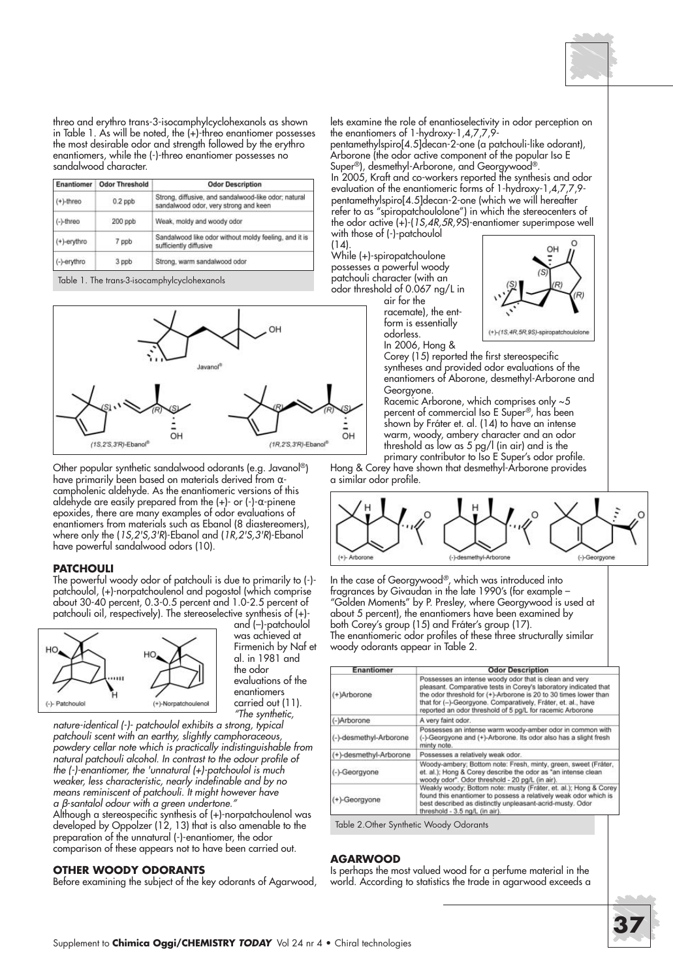

threo and erythro trans-3-isocamphylcyclohexanols as shown in Table 1. As will be noted, the (+)-threo enantiomer possesses the most desirable odor and strength followed by the erythro enantiomers, while the (-)-threo enantiomer possesses no sandalwood character.

| Enantiomer   | <b>Odor Threshold</b> | <b>Odor Description</b>                                                                       |
|--------------|-----------------------|-----------------------------------------------------------------------------------------------|
| $(+)$ -threo | $0.2$ ppb             | Strong, diffusive, and sandalwood-like odor; natural<br>sandalwood odor, very strong and keen |
| (-)-threo    | 200 ppb               | Weak, moldy and woody odor                                                                    |
| (+)-erythro  | 7 ppb                 | Sandalwood like odor without moldy feeling, and it is<br>sufficiently diffusive               |
| (-)-erythro  | 3 ppb                 | Strong, warm sandalwood odor                                                                  |

Table 1. The trans-3-isocamphylcyclohexanols



Other popular synthetic sandalwood odorants (e.g. Javanol®) have primarily been based on materials derived from  $\alpha$ campholenic aldehyde. As the enantiomeric versions of this aldehyde are easily prepared from the  $(+)$ - or  $(-)$ - $\alpha$ -pinene epoxides, there are many examples of odor evaluations of enantiomers from materials such as Ebanol (8 diastereomers), where only the (*1S,2'S,3'R*)-Ebanol and (*1R,2'S,3'R*)-Ebanol have powerful sandalwood odors (10).

#### **PATCHOULI**

The powerful woody odor of patchouli is due to primarily to (-) patchoulol, (+)-norpatchoulenol and pogostol (which comprise about 30-40 percent, 0.3-0.5 percent and 1.0-2.5 percent of patchouli oil, respectively). The stereoselective synthesis of (+)-



and (–)-patchoulol was achieved at Firmenich by Naf et al. in 1981 and the odor evaluations of the enantiomers carried out (11). *"The synthetic,*

*nature-identical (-)- patchoulol exhibits a strong, typical patchouli scent with an earthy, slightly camphoraceous, powdery cellar note which is practically indistinguishable from natural patchouli alcohol. In contrast to the odour profile of the (-)-enantiomer, the 'unnatural (+)-patchoulol is much weaker, less characteristic, nearly indefinable and by no means reminiscent of patchouli. It might however have a* β*-santalol odour with a green undertone."* Although a stereospecific synthesis of (+)-norpatchoulenol was developed by Oppolzer (12, 13) that is also amenable to the preparation of the unnatural (-)-enantiomer, the odor

# comparison of these appears not to have been carried out.

## **OTHER WOODY ODORANTS**

Before examining the subject of the key odorants of Agarwood,

lets examine the role of enantioselectivity in odor perception on the enantiomers of 1-hydroxy-1,4,7,7,9-

pentamethylspiro[4.5]decan-2-one (a patchouli-like odorant), Arborone (the odor active component of the popular Iso E Super®), desmethyl-Arborone, and Georgywood®.

In 2005, Kraft and co-workers reported the synthesis and odor evaluation of the enantiomeric forms of 1-hydroxy-1,4,7,7,9 pentamethylspiro[4.5]decan-2-one (which we will hereafter refer to as "spiropatchoulolone") in which the stereocenters of the odor active (+)-(*1S,4R,5R,9S*)-enantiomer superimpose well with those of (-)-patchoulol

(14). While (+)-spiropatchoulone possesses a powerful woody patchouli character (with an odor threshold of 0.067 ng/L in

air for the racemate), the entform is essentially odorless. In 2006, Hong &



Corey (15) reported the first stereospecific syntheses and provided odor evaluations of the enantiomers of Aborone, desmethyl-Arborone and Georgyone.

Racemic Arborone, which comprises only ~5 percent of commercial Iso E Super*®*, has been shown by Fráter et. al. (14) to have an intense warm, woody, ambery character and an odor threshold as low as 5 pg/l (in air) and is the primary contributor to Iso E Super's odor profile.

Hong & Corey have shown that desmethyl-Arborone provides a similar odor profile.



In the case of Georgywood*®*, which was introduced into fragrances by Givaudan in the late 1990's (for example – "Golden Moments" by P. Presley, where Georgywood is used at about 5 percent), the enantiomers have been examined by both Corey's group (15) and Fráter's group (17). The enantiomeric odor profiles of these three structurally similar woody odorants appear in Table 2.

| <b>Enantiomer</b>      | <b>Odor Description</b><br>Possesses an intense woody odor that is clean and very<br>pleasant. Comparative tests in Corey's laboratory indicated that<br>the odor threshold for (+)-Arborone is 20 to 30 times lower than<br>that for (-)-Georgyone. Comparatively, Frâter, et. al., have<br>reported an odor threshold of 5 pg/L for racemic Arborone |  |
|------------------------|--------------------------------------------------------------------------------------------------------------------------------------------------------------------------------------------------------------------------------------------------------------------------------------------------------------------------------------------------------|--|
| (+)Arborone            |                                                                                                                                                                                                                                                                                                                                                        |  |
| (-)Arborone            | A very faint odor.                                                                                                                                                                                                                                                                                                                                     |  |
| (-)-desmethyl-Arborone | Possesses an intense warm woody-amber odor in common with<br>(-)-Georgyone and (+)-Arborone. Its odor also has a slight fresh<br>minty note.                                                                                                                                                                                                           |  |
| (+)-desmethyl-Arborone | Possesses a relatively weak odor.                                                                                                                                                                                                                                                                                                                      |  |
| (-)-Georgyone          | Woody-ambery; Bottom note: Fresh, minty, green, sweet (Fråter,<br>et. al.); Hong & Corey describe the odor as "an intense clean.<br>woody odor". Odor threshold - 20 pg/L (in air).                                                                                                                                                                    |  |
| (+)-Georgyone          | Weakly woody; Bottom note: musty (Fråter, et. al.); Hong & Corey<br>found this enantiomer to possess a relatively weak odor which is<br>best described as distinctly unpleasant-acrid-musty. Odor<br>threshold - 3.5 ng/L (in air).                                                                                                                    |  |

Table 2.Other Synthetic Woody Odorants

## **AGARWOOD**

Is perhaps the most valued wood for a perfume material in the world. According to statistics the trade in agarwood exceeds a

**37**